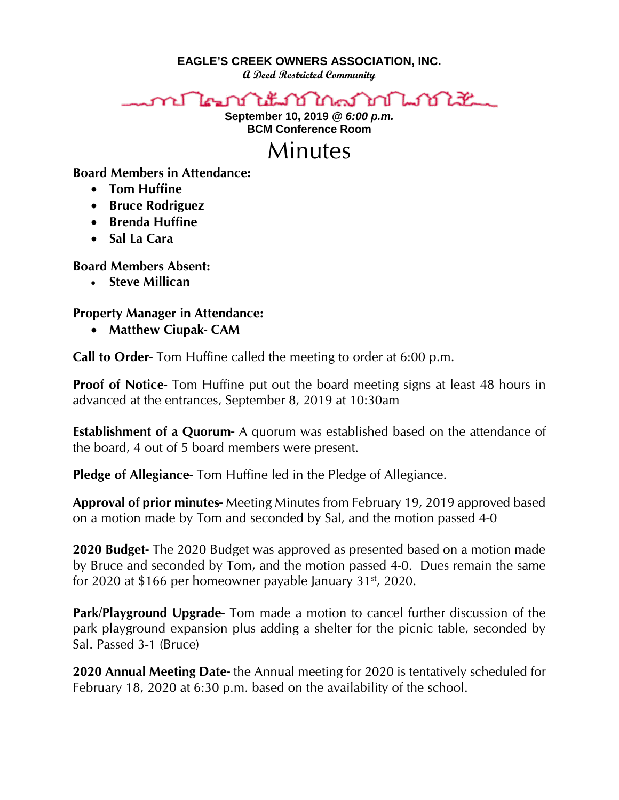**EAGLE'S CREEK OWNERS ASSOCIATION, INC.**

**A Deed Restricted Community**



**September 10, 2019** *@ 6:00 p.m.* **BCM Conference Room**

## Minutes

## **Board Members in Attendance:**

- **Tom Huffine**
- **Bruce Rodriguez**
- **Brenda Huffine**
- **Sal La Cara**

**Board Members Absent:**

• **Steve Millican** 

## **Property Manager in Attendance:**

• **Matthew Ciupak- CAM**

**Call to Order-** Tom Huffine called the meeting to order at 6:00 p.m.

**Proof of Notice-** Tom Huffine put out the board meeting signs at least 48 hours in advanced at the entrances, September 8, 2019 at 10:30am

**Establishment of a Quorum-** A quorum was established based on the attendance of the board, 4 out of 5 board members were present.

**Pledge of Allegiance-** Tom Huffine led in the Pledge of Allegiance.

**Approval of prior minutes-** Meeting Minutes from February 19, 2019 approved based on a motion made by Tom and seconded by Sal, and the motion passed 4-0

**2020 Budget-** The 2020 Budget was approved as presented based on a motion made by Bruce and seconded by Tom, and the motion passed 4-0. Dues remain the same for 2020 at \$166 per homeowner payable January  $31<sup>st</sup>$ , 2020.

**Park/Playground Upgrade-** Tom made a motion to cancel further discussion of the park playground expansion plus adding a shelter for the picnic table, seconded by Sal. Passed 3-1 (Bruce)

**2020 Annual Meeting Date-** the Annual meeting for 2020 is tentatively scheduled for February 18, 2020 at 6:30 p.m. based on the availability of the school.